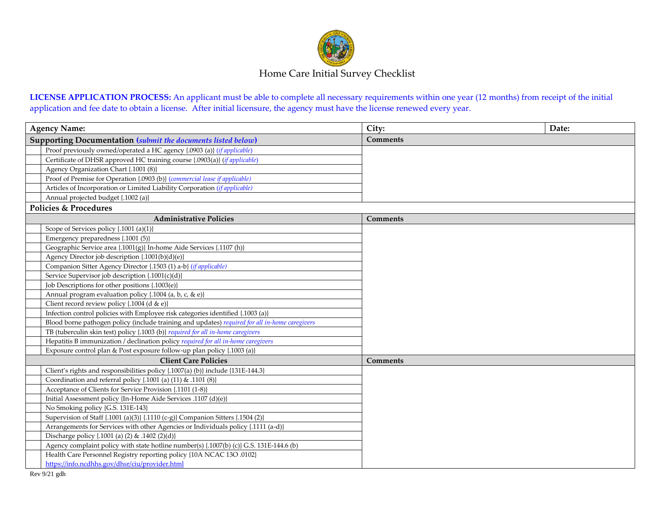

**LICENSE APPLICATION PROCESS:** An applicant must be able to complete all necessary requirements within one year (12 months) from receipt of the initial application and fee date to obtain a license. After initial licensure, the agency must have the license renewed every year.

| <b>Agency Name:</b>                                          |                                                                                                | City:           | Date: |  |  |
|--------------------------------------------------------------|------------------------------------------------------------------------------------------------|-----------------|-------|--|--|
| Supporting Documentation (submit the documents listed below) |                                                                                                | <b>Comments</b> |       |  |  |
|                                                              | Proof previously owned/operated a HC agency {.0903 (a)} ( <i>if applicable</i> )               |                 |       |  |  |
|                                                              | Certificate of DHSR approved HC training course {.0903(a)} (if applicable)                     |                 |       |  |  |
|                                                              | Agency Organization Chart {.1001 (8)}                                                          |                 |       |  |  |
|                                                              | Proof of Premise for Operation {.0903 (b)} (commercial lease if applicable)                    |                 |       |  |  |
|                                                              | Articles of Incorporation or Limited Liability Corporation (if applicable)                     |                 |       |  |  |
|                                                              | Annual projected budget {.1002 (a)}                                                            |                 |       |  |  |
| <b>Policies &amp; Procedures</b>                             |                                                                                                |                 |       |  |  |
|                                                              | <b>Administrative Policies</b>                                                                 | <b>Comments</b> |       |  |  |
|                                                              | Scope of Services policy {.1001 (a)(1)}                                                        |                 |       |  |  |
|                                                              | Emergency preparedness {.1001 (5)}                                                             |                 |       |  |  |
|                                                              | Geographic Service area {.1001(g)} In-home Aide Services {.1107 (h)}                           |                 |       |  |  |
|                                                              | Agency Director job description {.1001(b)(d)(e)}                                               |                 |       |  |  |
|                                                              | Companion Sitter Agency Director {.1503 (1) a-b} (if applicable)                               |                 |       |  |  |
|                                                              | Service Supervisor job description {.1001(c)(d)}                                               |                 |       |  |  |
|                                                              | Job Descriptions for other positions {.1003(e)}                                                |                 |       |  |  |
|                                                              | Annual program evaluation policy {.1004 (a, b, c, & e)}                                        |                 |       |  |  |
|                                                              | Client record review policy $\{.1004$ (d & e)}                                                 |                 |       |  |  |
|                                                              | Infection control policies with Employee risk categories identified {.1003 (a)}                |                 |       |  |  |
|                                                              | Blood borne pathogen policy (include training and updates) required for all in-home caregivers |                 |       |  |  |
|                                                              | TB (tuberculin skin test) policy {.1003 (b)} required for all in-home caregivers               |                 |       |  |  |
|                                                              | Hepatitis B immunization / declination policy required for all in-home caregivers              |                 |       |  |  |
|                                                              | Exposure control plan & Post exposure follow-up plan policy {.1003 (a)}                        |                 |       |  |  |
|                                                              | <b>Client Care Policies</b>                                                                    | <b>Comments</b> |       |  |  |
|                                                              | Client's rights and responsibilities policy {.1007(a) (b)} include {131E-144.3}                |                 |       |  |  |
|                                                              | Coordination and referral policy {.1001 (a) (11) & .1101 (8)}                                  |                 |       |  |  |
|                                                              | Acceptance of Clients for Service Provision {.1101 (1-8)}                                      |                 |       |  |  |
|                                                              | Initial Assessment policy {In-Home Aide Services .1107 (d)(e)}                                 |                 |       |  |  |
|                                                              | No Smoking policy {G.S. 131E-143}                                                              |                 |       |  |  |
|                                                              | Supervision of Staff {.1001 (a)(3)} {.1110 (c-g)} Companion Sitters {.1504 (2)}                |                 |       |  |  |
|                                                              | Arrangements for Services with other Agencies or Individuals policy {.1111 (a-d)}              |                 |       |  |  |
|                                                              | Discharge policy $\{0.1001$ (a) (2) & $0.1402$ (2)(d)}                                         |                 |       |  |  |
|                                                              | Agency complaint policy with state hotline number(s) {.1007(b) (c)} G.S. 131E-144.6 (b)        |                 |       |  |  |
|                                                              | Health Care Personnel Registry reporting policy {10A NCAC 13O .0102}                           |                 |       |  |  |
|                                                              | https://info.ncdhhs.gov/dhsr/ciu/provider.html                                                 |                 |       |  |  |